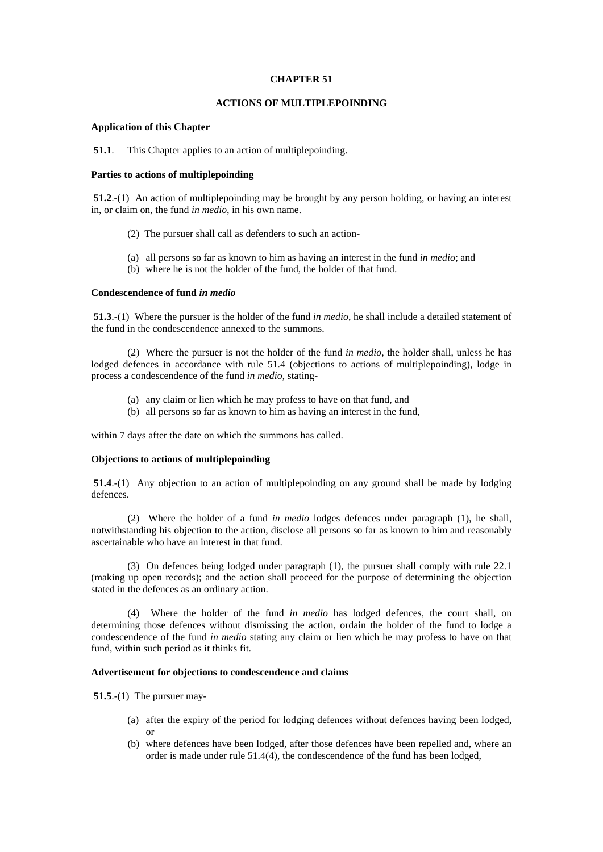### **CHAPTER 51**

# **ACTIONS OF MULTIPLEPOINDING**

# **Application of this Chapter**

 **51.1**. This Chapter applies to an action of multiplepoinding.

# **Parties to actions of multiplepoinding**

 **51.2**.-(1) An action of multiplepoinding may be brought by any person holding, or having an interest in, or claim on, the fund *in medio*, in his own name.

- (2) The pursuer shall call as defenders to such an action-
- (a) all persons so far as known to him as having an interest in the fund *in medio*; and
- (b) where he is not the holder of the fund, the holder of that fund.

### **Condescendence of fund** *in medio*

 **51.3**.-(1) Where the pursuer is the holder of the fund *in medio*, he shall include a detailed statement of the fund in the condescendence annexed to the summons.

 (2) Where the pursuer is not the holder of the fund *in medio*, the holder shall, unless he has lodged defences in accordance with rule 51.4 (objections to actions of multiplepoinding), lodge in process a condescendence of the fund *in medio*, stating-

- (a) any claim or lien which he may profess to have on that fund, and
- (b) all persons so far as known to him as having an interest in the fund,

within 7 days after the date on which the summons has called.

### **Objections to actions of multiplepoinding**

**51.4**.-(1) Any objection to an action of multiplepoinding on any ground shall be made by lodging defences.

 (2) Where the holder of a fund *in medio* lodges defences under paragraph (1), he shall, notwithstanding his objection to the action, disclose all persons so far as known to him and reasonably ascertainable who have an interest in that fund.

 (3) On defences being lodged under paragraph (1), the pursuer shall comply with rule 22.1 (making up open records); and the action shall proceed for the purpose of determining the objection stated in the defences as an ordinary action.

 (4) Where the holder of the fund *in medio* has lodged defences, the court shall, on determining those defences without dismissing the action, ordain the holder of the fund to lodge a condescendence of the fund *in medio* stating any claim or lien which he may profess to have on that fund, within such period as it thinks fit.

# **Advertisement for objections to condescendence and claims**

 **51.5**.-(1) The pursuer may-

- (a) after the expiry of the period for lodging defences without defences having been lodged, or
- (b) where defences have been lodged, after those defences have been repelled and, where an order is made under rule 51.4(4), the condescendence of the fund has been lodged,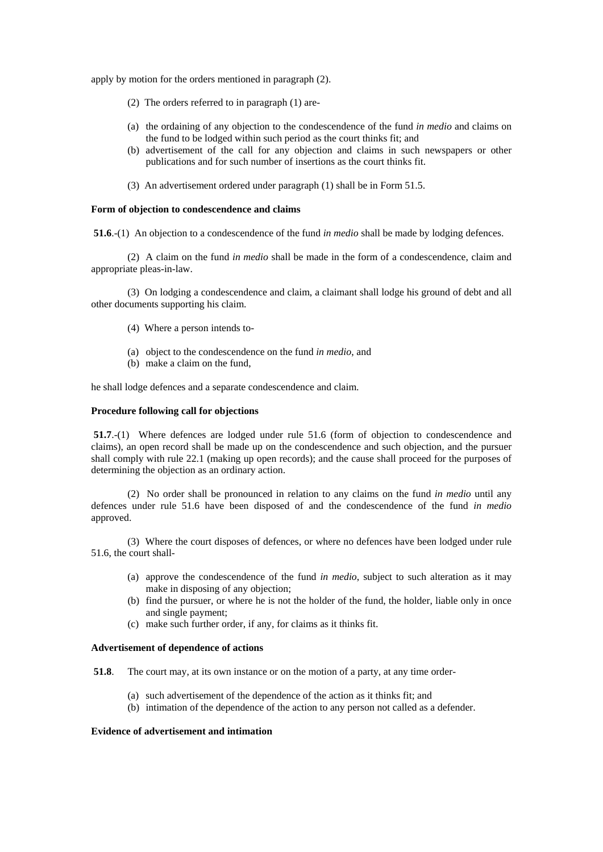apply by motion for the orders mentioned in paragraph (2).

- (2) The orders referred to in paragraph (1) are-
- (a) the ordaining of any objection to the condescendence of the fund *in medio* and claims on the fund to be lodged within such period as the court thinks fit; and
- (b) advertisement of the call for any objection and claims in such newspapers or other publications and for such number of insertions as the court thinks fit.
- (3) An advertisement ordered under paragraph (1) shall be in Form 51.5.

#### **Form of objection to condescendence and claims**

**51.6**.-(1) An objection to a condescendence of the fund *in medio* shall be made by lodging defences.

 (2) A claim on the fund *in medio* shall be made in the form of a condescendence, claim and appropriate pleas-in-law.

 (3) On lodging a condescendence and claim, a claimant shall lodge his ground of debt and all other documents supporting his claim.

- (4) Where a person intends to-
- (a) object to the condescendence on the fund *in medio*, and
- (b) make a claim on the fund,

he shall lodge defences and a separate condescendence and claim.

#### **Procedure following call for objections**

**51.7**.-(1) Where defences are lodged under rule 51.6 (form of objection to condescendence and claims), an open record shall be made up on the condescendence and such objection, and the pursuer shall comply with rule 22.1 (making up open records); and the cause shall proceed for the purposes of determining the objection as an ordinary action.

 (2) No order shall be pronounced in relation to any claims on the fund *in medio* until any defences under rule 51.6 have been disposed of and the condescendence of the fund *in medio* approved.

 (3) Where the court disposes of defences, or where no defences have been lodged under rule 51.6, the court shall-

- (a) approve the condescendence of the fund *in medio*, subject to such alteration as it may make in disposing of any objection;
- (b) find the pursuer, or where he is not the holder of the fund, the holder, liable only in once and single payment;
- (c) make such further order, if any, for claims as it thinks fit.

### **Advertisement of dependence of actions**

 **51.8**. The court may, at its own instance or on the motion of a party, at any time order-

- (a) such advertisement of the dependence of the action as it thinks fit; and
- (b) intimation of the dependence of the action to any person not called as a defender.

### **Evidence of advertisement and intimation**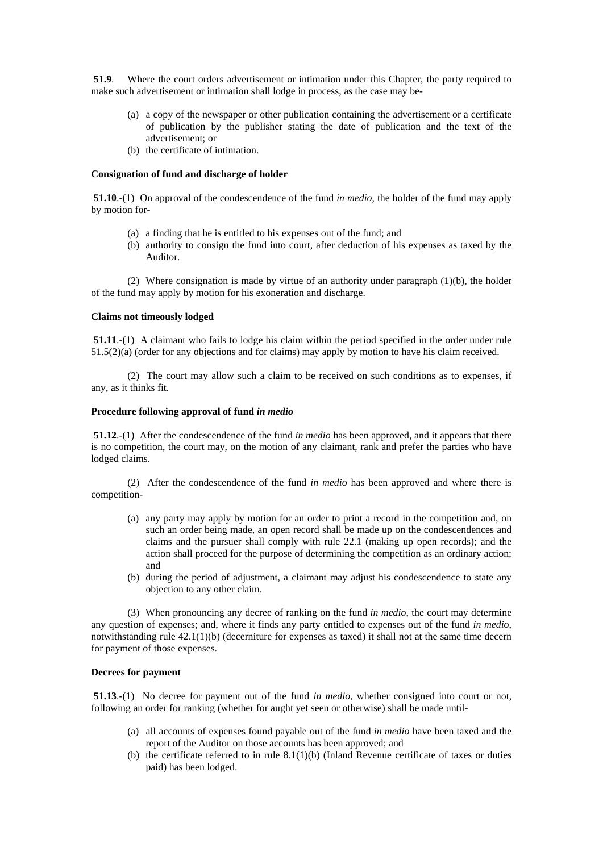**51.9**. Where the court orders advertisement or intimation under this Chapter, the party required to make such advertisement or intimation shall lodge in process, as the case may be-

- (a) a copy of the newspaper or other publication containing the advertisement or a certificate of publication by the publisher stating the date of publication and the text of the advertisement; or
- (b) the certificate of intimation.

# **Consignation of fund and discharge of holder**

 **51.10**.-(1) On approval of the condescendence of the fund *in medio*, the holder of the fund may apply by motion for-

- (a) a finding that he is entitled to his expenses out of the fund; and
- (b) authority to consign the fund into court, after deduction of his expenses as taxed by the Auditor.

(2) Where consignation is made by virtue of an authority under paragraph  $(1)(b)$ , the holder of the fund may apply by motion for his exoneration and discharge.

# **Claims not timeously lodged**

**51.11**.-(1) A claimant who fails to lodge his claim within the period specified in the order under rule 51.5(2)(a) (order for any objections and for claims) may apply by motion to have his claim received.

 (2) The court may allow such a claim to be received on such conditions as to expenses, if any, as it thinks fit.

#### **Procedure following approval of fund** *in medio*

 **51.12**.-(1) After the condescendence of the fund *in medio* has been approved, and it appears that there is no competition, the court may, on the motion of any claimant, rank and prefer the parties who have lodged claims.

 (2) After the condescendence of the fund *in medio* has been approved and where there is competition-

- (a) any party may apply by motion for an order to print a record in the competition and, on such an order being made, an open record shall be made up on the condescendences and claims and the pursuer shall comply with rule 22.1 (making up open records); and the action shall proceed for the purpose of determining the competition as an ordinary action; and
- (b) during the period of adjustment, a claimant may adjust his condescendence to state any objection to any other claim.

 (3) When pronouncing any decree of ranking on the fund *in medio*, the court may determine any question of expenses; and, where it finds any party entitled to expenses out of the fund *in medio*, notwithstanding rule 42.1(1)(b) (decerniture for expenses as taxed) it shall not at the same time decern for payment of those expenses.

# **Decrees for payment**

 **51.13**.-(1) No decree for payment out of the fund *in medio*, whether consigned into court or not, following an order for ranking (whether for aught yet seen or otherwise) shall be made until-

- (a) all accounts of expenses found payable out of the fund *in medio* have been taxed and the report of the Auditor on those accounts has been approved; and
- (b) the certificate referred to in rule  $8.1(1)(b)$  (Inland Revenue certificate of taxes or duties paid) has been lodged.